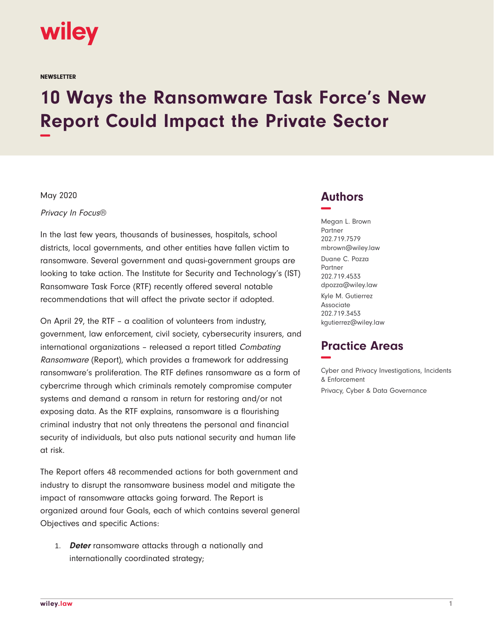

**NEWSLETTER** 

# **10 Ways the Ransomware Task Force's New Report Could Impact the Private Sector −**

#### May 2020

Privacy In Focus®

In the last few years, thousands of businesses, hospitals, school districts, local governments, and other entities have fallen victim to ransomware. Several government and quasi-government groups are looking to take action. The Institute for Security and Technology's (IST) Ransomware Task Force (RTF) recently offered several notable recommendations that will affect the private sector if adopted.

On April 29, the RTF – a coalition of volunteers from industry, government, law enforcement, civil society, cybersecurity insurers, and international organizations – released a report titled Combating Ransomware (Report), which provides a framework for addressing ransomware's proliferation. The RTF defines ransomware as a form of cybercrime through which criminals remotely compromise computer systems and demand a ransom in return for restoring and/or not exposing data. As the RTF explains, ransomware is a flourishing criminal industry that not only threatens the personal and financial security of individuals, but also puts national security and human life at risk.

The Report offers 48 recommended actions for both government and industry to disrupt the ransomware business model and mitigate the impact of ransomware attacks going forward. The Report is organized around four Goals, each of which contains several general Objectives and specific Actions:

1. **Deter** ransomware attacks through a nationally and internationally coordinated strategy;

# **Authors −**

Megan L. Brown Partner 202.719.7579 mbrown@wiley.law Duane C. Pozza Partner 202.719.4533 dpozza@wiley.law Kyle M. Gutierrez Associate 202.719.3453 kgutierrez@wiley.law

# **Practice Areas −**

Cyber and Privacy Investigations, Incidents & Enforcement Privacy, Cyber & Data Governance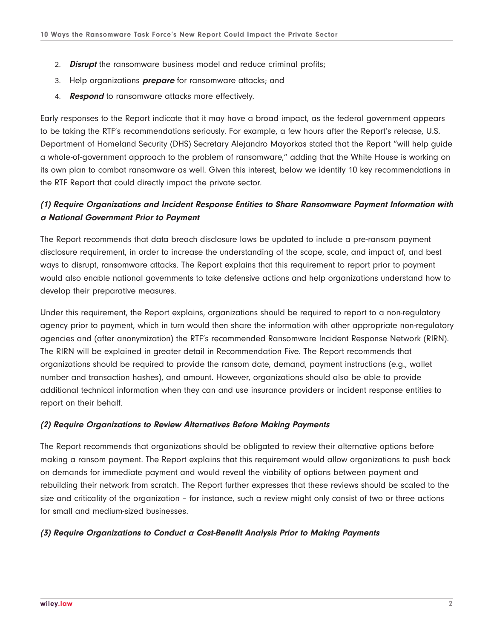- 2. **Disrupt** the ransomware business model and reduce criminal profits;
- 3. Help organizations **prepare** for ransomware attacks; and
- 4. **Respond** to ransomware attacks more effectively.

Early responses to the Report indicate that it may have a broad impact, as the federal government appears to be taking the RTF's recommendations seriously. For example, a few hours after the Report's release, U.S. Department of Homeland Security (DHS) Secretary Alejandro Mayorkas stated that the Report "will help guide a whole-of-government approach to the problem of ransomware," adding that the White House is working on its own plan to combat ransomware as well. Given this interest, below we identify 10 key recommendations in the RTF Report that could directly impact the private sector.

## **(1) Require Organizations and Incident Response Entities to Share Ransomware Payment Information with a National Government Prior to Payment**

The Report recommends that data breach disclosure laws be updated to include a pre-ransom payment disclosure requirement, in order to increase the understanding of the scope, scale, and impact of, and best ways to disrupt, ransomware attacks. The Report explains that this requirement to report prior to payment would also enable national governments to take defensive actions and help organizations understand how to develop their preparative measures.

Under this requirement, the Report explains, organizations should be required to report to a non-regulatory agency prior to payment, which in turn would then share the information with other appropriate non-regulatory agencies and (after anonymization) the RTF's recommended Ransomware Incident Response Network (RIRN). The RIRN will be explained in greater detail in Recommendation Five. The Report recommends that organizations should be required to provide the ransom date, demand, payment instructions (e.g., wallet number and transaction hashes), and amount. However, organizations should also be able to provide additional technical information when they can and use insurance providers or incident response entities to report on their behalf.

#### **(2) Require Organizations to Review Alternatives Before Making Payments**

The Report recommends that organizations should be obligated to review their alternative options before making a ransom payment. The Report explains that this requirement would allow organizations to push back on demands for immediate payment and would reveal the viability of options between payment and rebuilding their network from scratch. The Report further expresses that these reviews should be scaled to the size and criticality of the organization – for instance, such a review might only consist of two or three actions for small and medium-sized businesses.

#### **(3) Require Organizations to Conduct a Cost-Benefit Analysis Prior to Making Payments**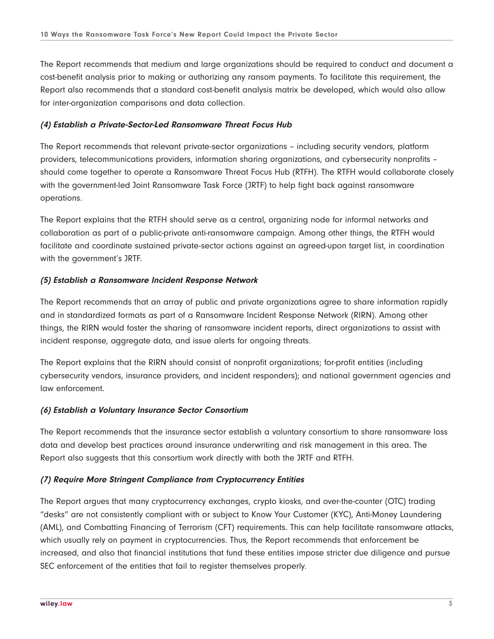The Report recommends that medium and large organizations should be required to conduct and document a cost-benefit analysis prior to making or authorizing any ransom payments. To facilitate this requirement, the Report also recommends that a standard cost-benefit analysis matrix be developed, which would also allow for inter-organization comparisons and data collection.

#### **(4) Establish a Private-Sector-Led Ransomware Threat Focus Hub**

The Report recommends that relevant private-sector organizations – including security vendors, platform providers, telecommunications providers, information sharing organizations, and cybersecurity nonprofits – should come together to operate a Ransomware Threat Focus Hub (RTFH). The RTFH would collaborate closely with the government-led Joint Ransomware Task Force (JRTF) to help fight back against ransomware operations.

The Report explains that the RTFH should serve as a central, organizing node for informal networks and collaboration as part of a public-private anti-ransomware campaign. Among other things, the RTFH would facilitate and coordinate sustained private-sector actions against an agreed-upon target list, in coordination with the government's JRTF.

#### **(5) Establish a Ransomware Incident Response Network**

The Report recommends that an array of public and private organizations agree to share information rapidly and in standardized formats as part of a Ransomware Incident Response Network (RIRN). Among other things, the RIRN would foster the sharing of ransomware incident reports, direct organizations to assist with incident response, aggregate data, and issue alerts for ongoing threats.

The Report explains that the RIRN should consist of nonprofit organizations; for-profit entities (including cybersecurity vendors, insurance providers, and incident responders); and national government agencies and law enforcement.

## **(6) Establish a Voluntary Insurance Sector Consortium**

The Report recommends that the insurance sector establish a voluntary consortium to share ransomware loss data and develop best practices around insurance underwriting and risk management in this area. The Report also suggests that this consortium work directly with both the JRTF and RTFH.

## **(7) Require More Stringent Compliance from Cryptocurrency Entities**

The Report argues that many cryptocurrency exchanges, crypto kiosks, and over-the-counter (OTC) trading "desks" are not consistently compliant with or subject to Know Your Customer (KYC), Anti-Money Laundering (AML), and Combatting Financing of Terrorism (CFT) requirements. This can help facilitate ransomware attacks, which usually rely on payment in cryptocurrencies. Thus, the Report recommends that enforcement be increased, and also that financial institutions that fund these entities impose stricter due diligence and pursue SEC enforcement of the entities that fail to register themselves properly.